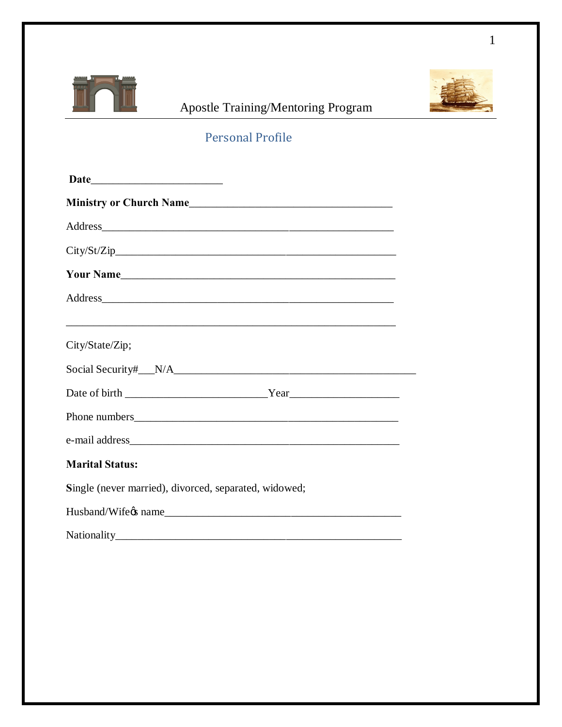

## Apostle Training/Mentoring Program



## Personal Profile

| Address and the contract of the contract of the contract of the contract of the contract of the contract of the contract of the contract of the contract of the contract of the contract of the contract of the contract of th |  |
|--------------------------------------------------------------------------------------------------------------------------------------------------------------------------------------------------------------------------------|--|
| City/State/Zip;                                                                                                                                                                                                                |  |
|                                                                                                                                                                                                                                |  |
|                                                                                                                                                                                                                                |  |
|                                                                                                                                                                                                                                |  |
|                                                                                                                                                                                                                                |  |
| <b>Marital Status:</b>                                                                                                                                                                                                         |  |
| Single (never married), divorced, separated, widowed;                                                                                                                                                                          |  |
|                                                                                                                                                                                                                                |  |
|                                                                                                                                                                                                                                |  |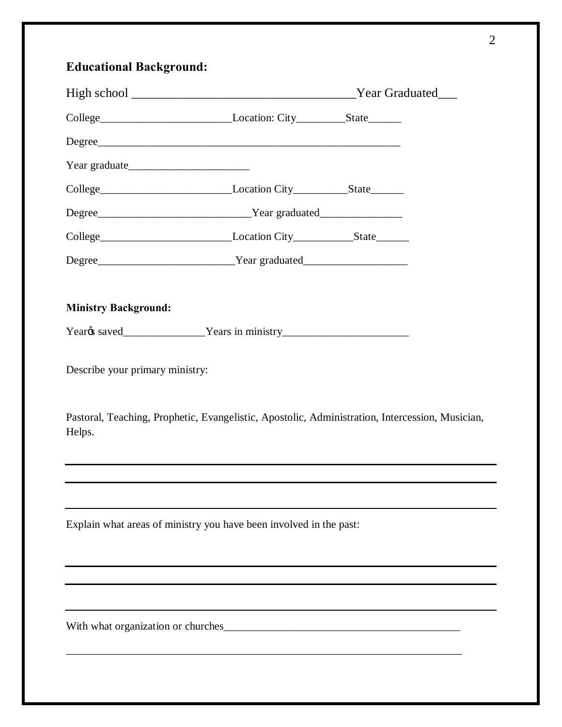## **Educational Background:**

| <b>Ministry Background:</b>     |                                                                                                 |  |  |
|---------------------------------|-------------------------------------------------------------------------------------------------|--|--|
|                                 |                                                                                                 |  |  |
| Describe your primary ministry: |                                                                                                 |  |  |
| Helps.                          | Pastoral, Teaching, Prophetic, Evangelistic, Apostolic, Administration, Intercession, Musician, |  |  |
|                                 |                                                                                                 |  |  |
|                                 |                                                                                                 |  |  |
|                                 | Explain what areas of ministry you have been involved in the past:                              |  |  |
|                                 |                                                                                                 |  |  |
|                                 |                                                                                                 |  |  |
|                                 |                                                                                                 |  |  |
|                                 |                                                                                                 |  |  |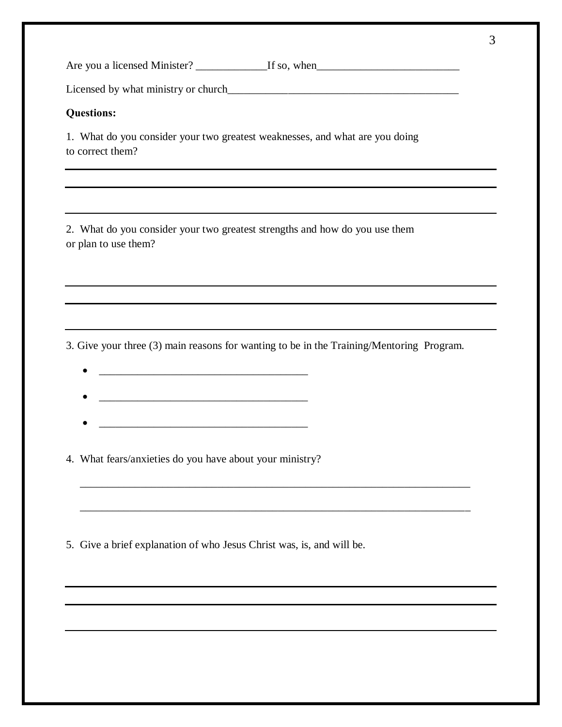Are you a licensed Minister? \_\_\_\_\_\_\_\_\_\_\_\_\_If so, when\_\_\_\_\_\_\_\_\_\_\_\_\_\_\_\_\_\_\_\_\_\_\_\_\_\_

Licensed by what ministry or church\_\_\_\_\_\_\_\_\_\_\_\_\_\_\_\_\_\_\_\_\_\_\_\_\_\_\_\_\_\_\_\_\_\_\_\_\_\_\_\_\_\_

## **Questions:**

1. What do you consider your two greatest weaknesses, and what are you doing to correct them?

2. What do you consider your two greatest strengths and how do you use them or plan to use them?

3. Give your three (3) main reasons for wanting to be in the Training/Mentoring Program.

\_\_\_\_\_\_\_\_\_\_\_\_\_\_\_\_\_\_\_\_\_\_\_\_\_\_\_\_\_\_\_\_\_\_\_\_\_\_\_\_\_\_\_\_\_\_\_\_\_\_\_\_\_\_\_\_\_\_\_\_\_\_\_\_\_\_\_\_\_\_\_

\_\_\_\_\_\_\_\_\_\_\_\_\_\_\_\_\_\_\_\_\_\_\_\_\_\_\_\_\_\_\_\_\_\_\_\_\_\_\_\_\_\_\_\_\_\_\_\_\_\_\_\_\_\_\_\_\_\_\_\_\_\_\_\_\_\_\_\_\_\_\_

- · \_\_\_\_\_\_\_\_\_\_\_\_\_\_\_\_\_\_\_\_\_\_\_\_\_\_\_\_\_\_\_\_\_\_\_\_\_\_
- 
- · \_\_\_\_\_\_\_\_\_\_\_\_\_\_\_\_\_\_\_\_\_\_\_\_\_\_\_\_\_\_\_\_\_\_\_\_\_\_

4. What fears/anxieties do you have about your ministry?

5. Give a brief explanation of who Jesus Christ was, is, and will be.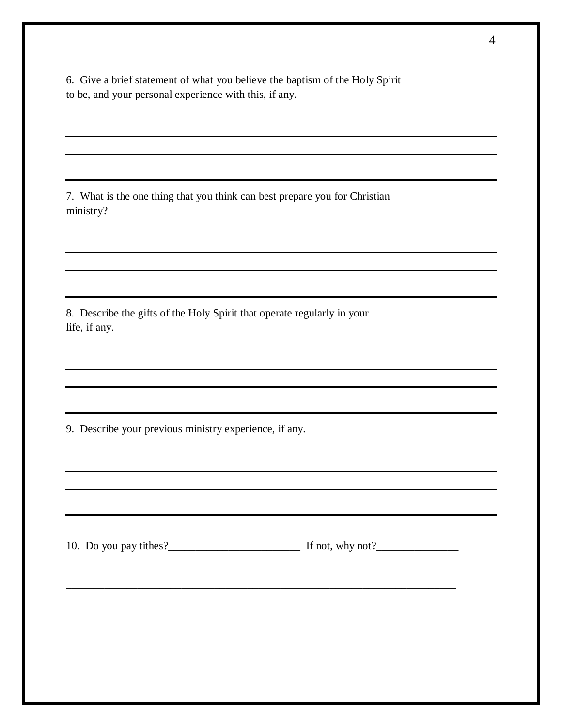6. Give a brief statement of what you believe the baptism of the Holy Spirit to be, and your personal experience with this, if any.

7. What is the one thing that you think can best prepare you for Christian ministry?

8. Describe the gifts of the Holy Spirit that operate regularly in your life, if any.

9. Describe your previous ministry experience, if any.

10. Do you pay tithes?<br> $\frac{10 \text{ N}}{2}$  If not, why not?

\_\_\_\_\_\_\_\_\_\_\_\_\_\_\_\_\_\_\_\_\_\_\_\_\_\_\_\_\_\_\_\_\_\_\_\_\_\_\_\_\_\_\_\_\_\_\_\_\_\_\_\_\_\_\_\_\_\_\_\_\_\_\_\_\_\_\_\_\_\_\_